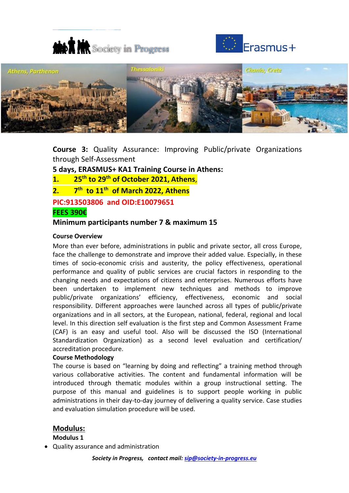





**Course 3:** Quality Assurance: Improving Public/private Organizations through Self-Assessment

**5 days, ERASMUS+ KA1 Training Course in Athens:** 

**1. 25th to 29th of October 2021, Athens**,

**2. 7 th to 11th of March 2022, Athens**

**PIC:913503806 and OID:E10079651**

# **FEES 390€**

# **Minimum participants number 7 & maximum 15**

## **Course Overview**

More than ever before, administrations in public and private sector, all cross Europe, face the challenge to demonstrate and improve their added value. Especially, in these times of socio-economic crisis and austerity, the policy effectiveness, operational performance and quality of public services are crucial factors in responding to the changing needs and expectations of citizens and enterprises. Numerous efforts have been undertaken to implement new techniques and methods to improve public/private organizations' efficiency, effectiveness, economic and social responsibility. Different approaches were launched across all types of public/private organizations and in all sectors, at the European, national, federal, regional and local level. In this direction self evaluation is the first step and Common Assessment Frame (CAF) is an easy and useful tool. Also will be discussed the ISO (International Standardization Organization) as a second level evaluation and certification/ accreditation procedure.

# **Course Methodology**

The course is based on "learning by doing and reflecting" a training method through various collaborative activities. The content and fundamental information will be introduced through thematic modules within a group instructional setting. The purpose of this manual and guidelines is to support people working in public administrations in their day-to-day journey of delivering a quality service. Case studies and evaluation simulation procedure will be used.

# **Modulus:**

**Modulus 1**

Quality assurance and administration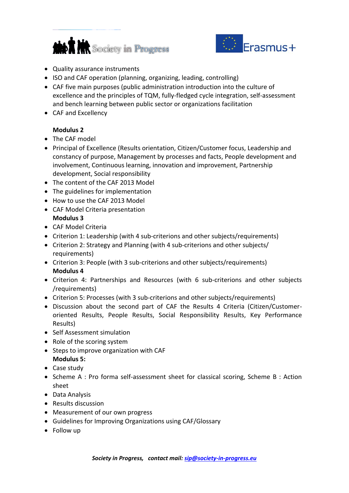



- Quality assurance instruments
- ISO and CAF operation (planning, organizing, leading, controlling)
- CAF five main purposes (public administration introduction into the culture of excellence and the principles of TQM, fully-fledged cycle integration, self-assessment and bench learning between public sector or organizations facilitation
- CAF and Excellency

# **Modulus 2**

- The CAF model
- Principal of Excellence (Results orientation, Citizen/Customer focus, Leadership and constancy of purpose, Management by processes and facts, People development and involvement, Continuous learning, innovation and improvement, Partnership development, Social responsibility
- The content of the CAF 2013 Model
- The guidelines for implementation
- How to use the CAF 2013 Model
- CAF Model Criteria presentation **Modulus 3**
- CAF Model Criteria
- Criterion 1: Leadership (with 4 sub-criterions and other subjects/requirements)
- Criterion 2: Strategy and Planning (with 4 sub-criterions and other subjects/ requirements)
- Criterion 3: People (with 3 sub-criterions and other subjects/requirements) **Modulus 4**
- Criterion 4: Partnerships and Resources (with 6 sub-criterions and other subjects /requirements)
- Criterion 5: Processes (with 3 sub-criterions and other subjects/requirements)
- Discussion about the second part of CAF the Results 4 Criteria (Citizen/Customeroriented Results, People Results, Social Responsibility Results, Key Performance Results)
- Self Assessment simulation
- Role of the scoring system
- Steps to improve organization with CAF **Modulus 5:**
- Case study
- Scheme A : Pro forma self-assessment sheet for classical scoring, Scheme B : Action sheet
- Data Analysis
- Results discussion
- Measurement of our own progress
- Guidelines for Improving Organizations using CAF/Glossary
- Follow up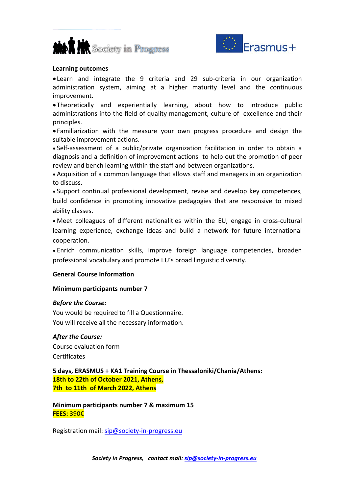



#### **Learning outcomes**

 Learn and integrate the 9 criteria and 29 sub-criteria in our organization administration system, aiming at a higher maturity level and the continuous improvement.

 Theoretically and experientially learning, about how to introduce public administrations into the field of quality management, culture of excellence and their principles.

 Familiarization with the measure your own progress procedure and design the suitable improvement actions.

 Self-assessment of a public/private organization facilitation in order to obtain a diagnosis and a definition of improvement actions to help out the promotion of peer review and bench learning within the staff and between organizations.

 Acquisition of a common language that allows staff and managers in an organization to discuss.

 Support continual professional development, revise and develop key competences, build confidence in promoting innovative pedagogies that are responsive to mixed ability classes.

 Meet colleagues of different nationalities within the EU, engage in cross-cultural learning experience, exchange ideas and build a network for future international cooperation.

 Enrich communication skills, improve foreign language competencies, broaden professional vocabulary and promote EU's broad linguistic diversity.

## **General Course Information**

## **Minimum participants number 7**

## *Before the Course:*

You would be required to fill a Questionnaire. You will receive all the necessary information.

## *After the Course:*

Course evaluation form **Certificates** 

**5 days, ERASMUS + KA1 Training Course in Thessaloniki/Chania/Athens: 18th to 22th of October 2021, Athens, 7th to 11th of March 2022, Athens**

**Minimum participants number 7 & maximum 15 FEES:** 390€

Registration mail: [sip@society-in-progress.eu](mailto:sip@society-in-progress.eu)